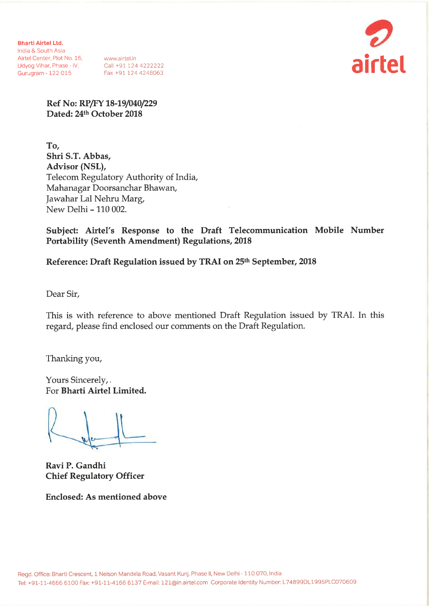**Bharti Airtel Ltd.** India & South Asia Airtel Center, Plot No. 16, www.airtel.in<br>
Udyog Vihar, Phase - IV, Call +91 124 4222222<br>
Gurugram - 122 015 Fax +91 124 4248063



Ref No: RP/FY 18-19/040/229 Dated: 24th October 2018

To, Shri S.T. Abbas, Advisor (NSL), Telecom Regulatory Authority of India, Mahanagar Doorsanchar Bhawan, Jawahar Lal Nehru Marg, New Delhi - 110 002.

Subject: Airtel's Response to the Draft Telecommunication Mobile Number **Portability (Seventh Amendment) Regulations, 2018** 

Reference: Draft Regulation issued by TRAI on 25th September, 2018

Dear Sir,

This is with reference to above mentioned Draft Regulation issued by TRAI. In this regard, please find enclosed our comments on the Draft Regulation.

Thanking you,

Yours Sincerely,. For Bharti Airtel Limited.

Ravi P. Gandhi **Chief Regulatory Officer** 

**Enclosed: As mentioned above**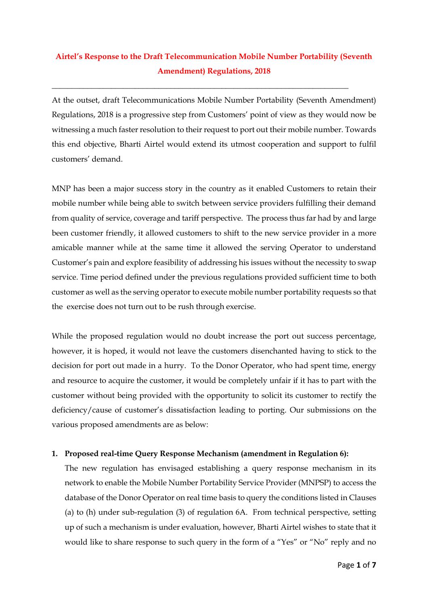# **Airtel's Response to the Draft Telecommunication Mobile Number Portability (Seventh Amendment) Regulations, 2018**

\_\_\_\_\_\_\_\_\_\_\_\_\_\_\_\_\_\_\_\_\_\_\_\_\_\_\_\_\_\_\_\_\_\_\_\_\_\_\_\_\_\_\_\_\_\_\_\_\_\_\_\_\_\_\_\_\_\_\_\_\_\_\_\_\_\_\_\_\_\_\_\_\_\_\_

At the outset, draft Telecommunications Mobile Number Portability (Seventh Amendment) Regulations, 2018 is a progressive step from Customers' point of view as they would now be witnessing a much faster resolution to their request to port out their mobile number. Towards this end objective, Bharti Airtel would extend its utmost cooperation and support to fulfil customers' demand.

MNP has been a major success story in the country as it enabled Customers to retain their mobile number while being able to switch between service providers fulfilling their demand from quality of service, coverage and tariff perspective. The process thus far had by and large been customer friendly, it allowed customers to shift to the new service provider in a more amicable manner while at the same time it allowed the serving Operator to understand Customer's pain and explore feasibility of addressing his issues without the necessity to swap service. Time period defined under the previous regulations provided sufficient time to both customer as well as the serving operator to execute mobile number portability requests so that the exercise does not turn out to be rush through exercise.

While the proposed regulation would no doubt increase the port out success percentage, however, it is hoped, it would not leave the customers disenchanted having to stick to the decision for port out made in a hurry. To the Donor Operator, who had spent time, energy and resource to acquire the customer, it would be completely unfair if it has to part with the customer without being provided with the opportunity to solicit its customer to rectify the deficiency/cause of customer's dissatisfaction leading to porting. Our submissions on the various proposed amendments are as below:

## **1. Proposed real-time Query Response Mechanism (amendment in Regulation 6):**

The new regulation has envisaged establishing a query response mechanism in its network to enable the Mobile Number Portability Service Provider (MNPSP) to access the database of the Donor Operator on real time basis to query the conditions listed in Clauses (a) to (h) under sub-regulation (3) of regulation 6A. From technical perspective, setting up of such a mechanism is under evaluation, however, Bharti Airtel wishes to state that it would like to share response to such query in the form of a "Yes" or "No" reply and no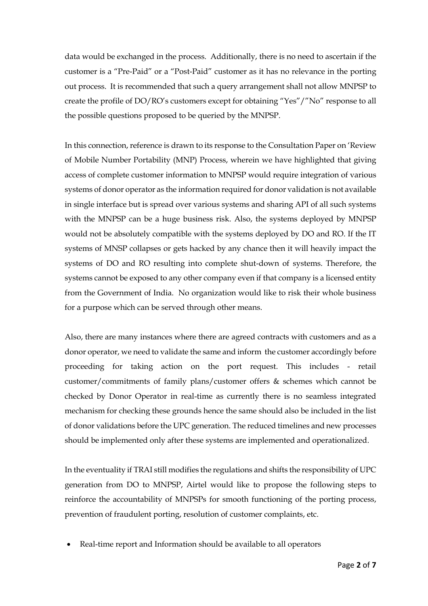data would be exchanged in the process. Additionally, there is no need to ascertain if the customer is a "Pre-Paid" or a "Post-Paid" customer as it has no relevance in the porting out process. It is recommended that such a query arrangement shall not allow MNPSP to create the profile of DO/RO's customers except for obtaining "Yes"/"No" response to all the possible questions proposed to be queried by the MNPSP.

In this connection, reference is drawn to its response to the Consultation Paper on 'Review of Mobile Number Portability (MNP) Process, wherein we have highlighted that giving access of complete customer information to MNPSP would require integration of various systems of donor operator as the information required for donor validation is not available in single interface but is spread over various systems and sharing API of all such systems with the MNPSP can be a huge business risk. Also, the systems deployed by MNPSP would not be absolutely compatible with the systems deployed by DO and RO. If the IT systems of MNSP collapses or gets hacked by any chance then it will heavily impact the systems of DO and RO resulting into complete shut-down of systems. Therefore, the systems cannot be exposed to any other company even if that company is a licensed entity from the Government of India. No organization would like to risk their whole business for a purpose which can be served through other means.

Also, there are many instances where there are agreed contracts with customers and as a donor operator, we need to validate the same and inform the customer accordingly before proceeding for taking action on the port request. This includes - retail customer/commitments of family plans/customer offers & schemes which cannot be checked by Donor Operator in real-time as currently there is no seamless integrated mechanism for checking these grounds hence the same should also be included in the list of donor validations before the UPC generation. The reduced timelines and new processes should be implemented only after these systems are implemented and operationalized.

In the eventuality if TRAI still modifies the regulations and shifts the responsibility of UPC generation from DO to MNPSP, Airtel would like to propose the following steps to reinforce the accountability of MNPSPs for smooth functioning of the porting process, prevention of fraudulent porting, resolution of customer complaints, etc.

Real-time report and Information should be available to all operators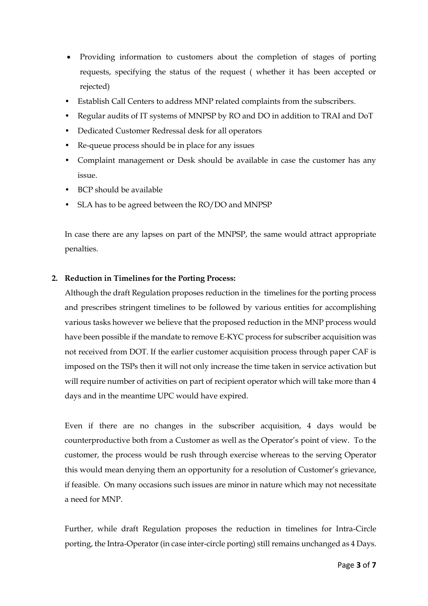- Providing information to customers about the completion of stages of porting requests, specifying the status of the request ( whether it has been accepted or rejected)
- Establish Call Centers to address MNP related complaints from the subscribers.
- Regular audits of IT systems of MNPSP by RO and DO in addition to TRAI and DoT
- Dedicated Customer Redressal desk for all operators
- Re-queue process should be in place for any issues
- Complaint management or Desk should be available in case the customer has any issue.
- BCP should be available
- SLA has to be agreed between the RO/DO and MNPSP

In case there are any lapses on part of the MNPSP, the same would attract appropriate penalties.

#### **2. Reduction in Timelines for the Porting Process:**

Although the draft Regulation proposes reduction in the timelines for the porting process and prescribes stringent timelines to be followed by various entities for accomplishing various tasks however we believe that the proposed reduction in the MNP process would have been possible if the mandate to remove E-KYC process for subscriber acquisition was not received from DOT. If the earlier customer acquisition process through paper CAF is imposed on the TSPs then it will not only increase the time taken in service activation but will require number of activities on part of recipient operator which will take more than 4 days and in the meantime UPC would have expired.

Even if there are no changes in the subscriber acquisition, 4 days would be counterproductive both from a Customer as well as the Operator's point of view. To the customer, the process would be rush through exercise whereas to the serving Operator this would mean denying them an opportunity for a resolution of Customer's grievance, if feasible. On many occasions such issues are minor in nature which may not necessitate a need for MNP.

Further, while draft Regulation proposes the reduction in timelines for Intra-Circle porting, the Intra-Operator (in case inter-circle porting) still remains unchanged as 4 Days.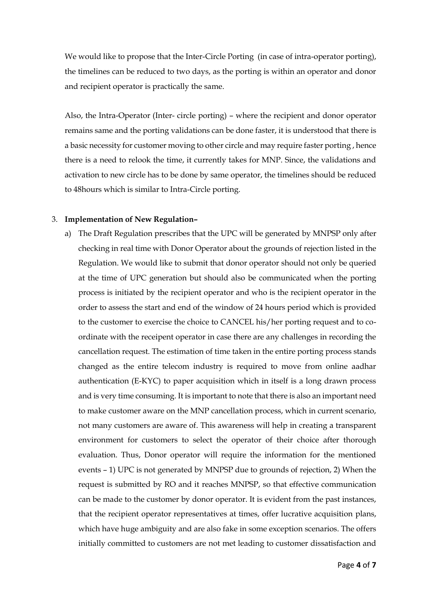We would like to propose that the Inter-Circle Porting (in case of intra-operator porting), the timelines can be reduced to two days, as the porting is within an operator and donor and recipient operator is practically the same.

Also, the Intra-Operator (Inter- circle porting) – where the recipient and donor operator remains same and the porting validations can be done faster, it is understood that there is a basic necessity for customer moving to other circle and may require faster porting , hence there is a need to relook the time, it currently takes for MNP. Since, the validations and activation to new circle has to be done by same operator, the timelines should be reduced to 48hours which is similar to Intra-Circle porting.

#### 3. **Implementation of New Regulation–**

a) The Draft Regulation prescribes that the UPC will be generated by MNPSP only after checking in real time with Donor Operator about the grounds of rejection listed in the Regulation. We would like to submit that donor operator should not only be queried at the time of UPC generation but should also be communicated when the porting process is initiated by the recipient operator and who is the recipient operator in the order to assess the start and end of the window of 24 hours period which is provided to the customer to exercise the choice to CANCEL his/her porting request and to coordinate with the receipent operator in case there are any challenges in recording the cancellation request. The estimation of time taken in the entire porting process stands changed as the entire telecom industry is required to move from online aadhar authentication (E-KYC) to paper acquisition which in itself is a long drawn process and is very time consuming. It is important to note that there is also an important need to make customer aware on the MNP cancellation process, which in current scenario, not many customers are aware of. This awareness will help in creating a transparent environment for customers to select the operator of their choice after thorough evaluation. Thus, Donor operator will require the information for the mentioned events – 1) UPC is not generated by MNPSP due to grounds of rejection, 2) When the request is submitted by RO and it reaches MNPSP, so that effective communication can be made to the customer by donor operator. It is evident from the past instances, that the recipient operator representatives at times, offer lucrative acquisition plans, which have huge ambiguity and are also fake in some exception scenarios. The offers initially committed to customers are not met leading to customer dissatisfaction and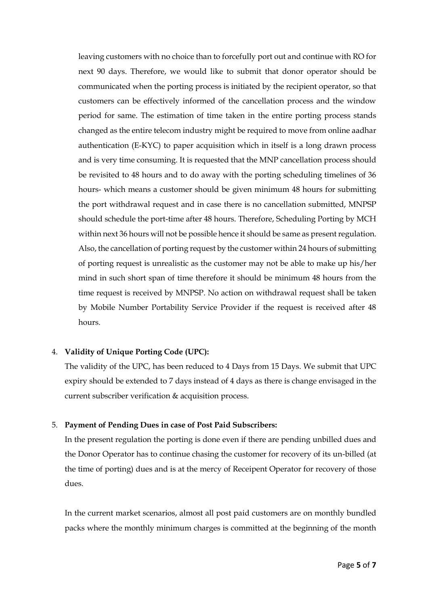leaving customers with no choice than to forcefully port out and continue with RO for next 90 days. Therefore, we would like to submit that donor operator should be communicated when the porting process is initiated by the recipient operator, so that customers can be effectively informed of the cancellation process and the window period for same. The estimation of time taken in the entire porting process stands changed as the entire telecom industry might be required to move from online aadhar authentication (E-KYC) to paper acquisition which in itself is a long drawn process and is very time consuming. It is requested that the MNP cancellation process should be revisited to 48 hours and to do away with the porting scheduling timelines of 36 hours- which means a customer should be given minimum 48 hours for submitting the port withdrawal request and in case there is no cancellation submitted, MNPSP should schedule the port-time after 48 hours. Therefore, Scheduling Porting by MCH within next 36 hours will not be possible hence it should be same as present regulation. Also, the cancellation of porting request by the customer within 24 hours of submitting of porting request is unrealistic as the customer may not be able to make up his/her mind in such short span of time therefore it should be minimum 48 hours from the time request is received by MNPSP. No action on withdrawal request shall be taken by Mobile Number Portability Service Provider if the request is received after 48 hours.

#### 4. **Validity of Unique Porting Code (UPC):**

The validity of the UPC, has been reduced to 4 Days from 15 Days. We submit that UPC expiry should be extended to 7 days instead of 4 days as there is change envisaged in the current subscriber verification & acquisition process.

## 5. **Payment of Pending Dues in case of Post Paid Subscribers:**

In the present regulation the porting is done even if there are pending unbilled dues and the Donor Operator has to continue chasing the customer for recovery of its un-billed (at the time of porting) dues and is at the mercy of Receipent Operator for recovery of those dues.

In the current market scenarios, almost all post paid customers are on monthly bundled packs where the monthly minimum charges is committed at the beginning of the month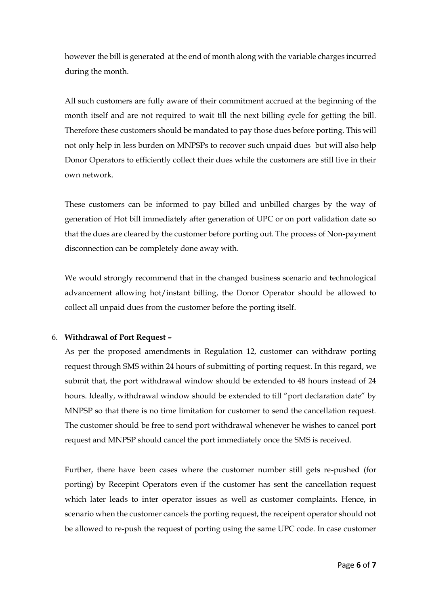however the bill is generated at the end of month along with the variable charges incurred during the month.

All such customers are fully aware of their commitment accrued at the beginning of the month itself and are not required to wait till the next billing cycle for getting the bill. Therefore these customers should be mandated to pay those dues before porting. This will not only help in less burden on MNPSPs to recover such unpaid dues but will also help Donor Operators to efficiently collect their dues while the customers are still live in their own network.

These customers can be informed to pay billed and unbilled charges by the way of generation of Hot bill immediately after generation of UPC or on port validation date so that the dues are cleared by the customer before porting out. The process of Non-payment disconnection can be completely done away with.

We would strongly recommend that in the changed business scenario and technological advancement allowing hot/instant billing, the Donor Operator should be allowed to collect all unpaid dues from the customer before the porting itself.

## 6. **Withdrawal of Port Request –**

As per the proposed amendments in Regulation 12, customer can withdraw porting request through SMS within 24 hours of submitting of porting request. In this regard, we submit that, the port withdrawal window should be extended to 48 hours instead of 24 hours. Ideally, withdrawal window should be extended to till "port declaration date" by MNPSP so that there is no time limitation for customer to send the cancellation request. The customer should be free to send port withdrawal whenever he wishes to cancel port request and MNPSP should cancel the port immediately once the SMS is received.

Further, there have been cases where the customer number still gets re-pushed (for porting) by Recepint Operators even if the customer has sent the cancellation request which later leads to inter operator issues as well as customer complaints. Hence, in scenario when the customer cancels the porting request, the receipent operator should not be allowed to re-push the request of porting using the same UPC code. In case customer